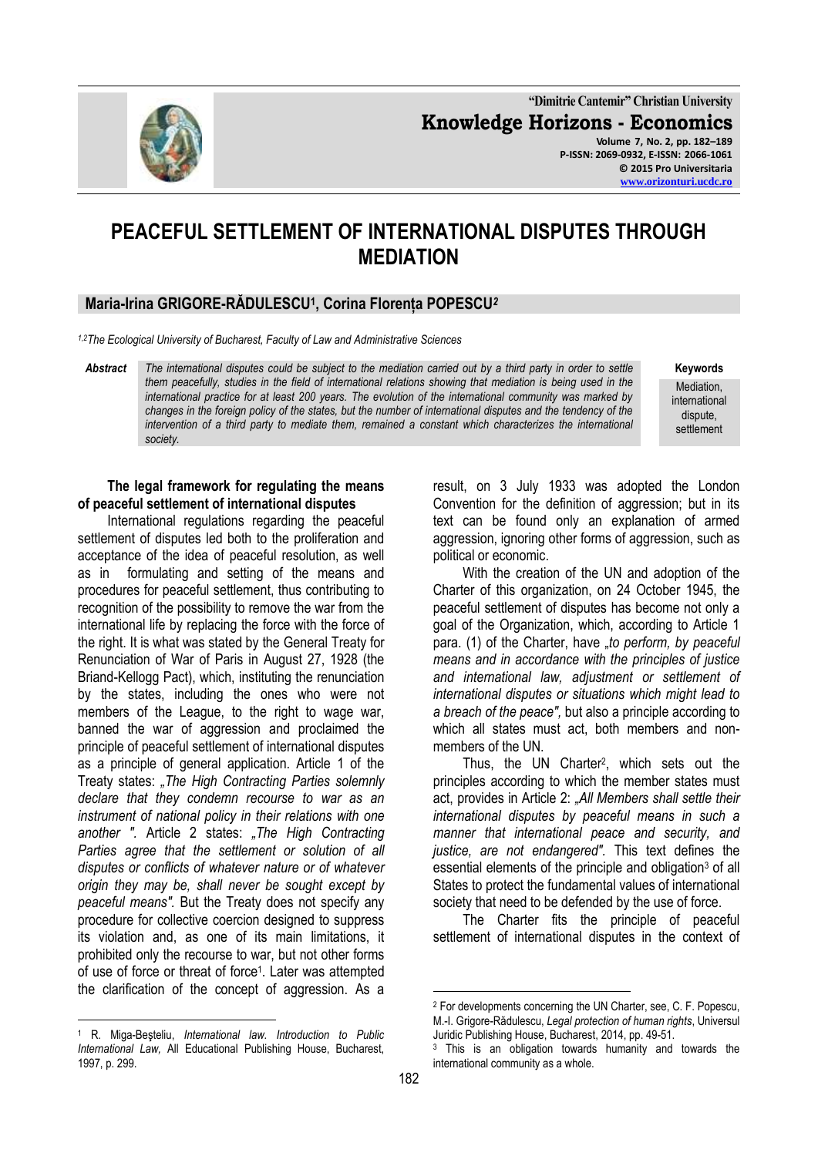**"Dimitrie Cantemir" Christian University Knowledge Horizons - Economics Volume 7, No. 2, pp. 182–189 P-ISSN: 2069-0932, E-ISSN: 2066-1061 © 2015 Pro Universitaria [www.orizonturi.ucdc.ro](http://www.orizonturi.ucdc.ro/)**

# **PEACEFUL SETTLEMENT OF INTERNATIONAL DISPUTES THROUGH MEDIATION**

# **Maria-Irina GRIGORE-RĂDULESCU<sup>1</sup> , Corina Florența POPESCU***<sup>2</sup>*

*1,2The Ecological University of Bucharest, Faculty of Law and Administrative Sciences*

*Abstract The international disputes could be subject to the mediation carried out by a third party in order to settle them peacefully, studies in the field of international relations showing that mediation is being used in the international practice for at least 200 years. The evolution of the international community was marked by changes in the foreign policy of the states, but the number of international disputes and the tendency of the intervention of a third party to mediate them, remained a constant which characterizes the international society.*

**Keywords** Mediation, international dispute, settlement

#### **The legal framework for regulating the means of peaceful settlement of international disputes**

International regulations regarding the peaceful settlement of disputes led both to the proliferation and acceptance of the idea of peaceful resolution, as well as in formulating and setting of the means and procedures for peaceful settlement, thus contributing to recognition of the possibility to remove the war from the international life by replacing the force with the force of the right. It is what was stated by the General Treaty for Renunciation of War of Paris in August 27, 1928 (the Briand-Kellogg Pact), which, instituting the renunciation by the states, including the ones who were not members of the League, to the right to wage war, banned the war of aggression and proclaimed the principle of peaceful settlement of international disputes as a principle of general application. Article 1 of the Treaty states: *"The High Contracting Parties solemnly declare that they condemn recourse to war as an instrument of national policy in their relations with one another ".* Article 2 states: *"The High Contracting Parties agree that the settlement or solution of all disputes or conflicts of whatever nature or of whatever origin they may be, shall never be sought except by peaceful means".* But the Treaty does not specify any procedure for collective coercion designed to suppress its violation and, as one of its main limitations, it prohibited only the recourse to war, but not other forms of use of force or threat of force<sup>1</sup>. Later was attempted the clarification of the concept of aggression. As a

<sup>1</sup> R. Miga-Beşteliu, *International law. Introduction to Public International Law,* All Educational Publishing House, Bucharest, 1997, p. 299.

<u>.</u>

result, on 3 July 1933 was adopted the London Convention for the definition of aggression; but in its text can be found only an explanation of armed aggression, ignoring other forms of aggression, such as political or economic.

With the creation of the UN and adoption of the Charter of this organization, on 24 October 1945, the peaceful settlement of disputes has become not only a goal of the Organization, which, according to Article 1 para. (1) of the Charter, have "to perform, by peaceful *means and in accordance with the principles of justice and international law, adjustment or settlement of international disputes or situations which might lead to a breach of the peace",* but also a principle according to which all states must act, both members and nonmembers of the UN.

Thus, the UN Charter<sup>2</sup> , which sets out the principles according to which the member states must act, provides in Article 2: *"All Members shall settle their international disputes by peaceful means in such a manner that international peace and security, and justice, are not endangered".* This text defines the essential elements of the principle and obligation<sup>3</sup> of all States to protect the fundamental values of international society that need to be defended by the use of force.

The Charter fits the principle of peaceful settlement of international disputes in the context of

<u>.</u>



<sup>2</sup> For developments concerning the UN Charter, see, C. F. Popescu, M.-I. Grigore-Rădulescu, *Legal protection of human rights*, Universul Juridic Publishing House, Bucharest, 2014, pp. 49-51.

<sup>&</sup>lt;sup>3</sup> This is an obligation towards humanity and towards the international community as a whole.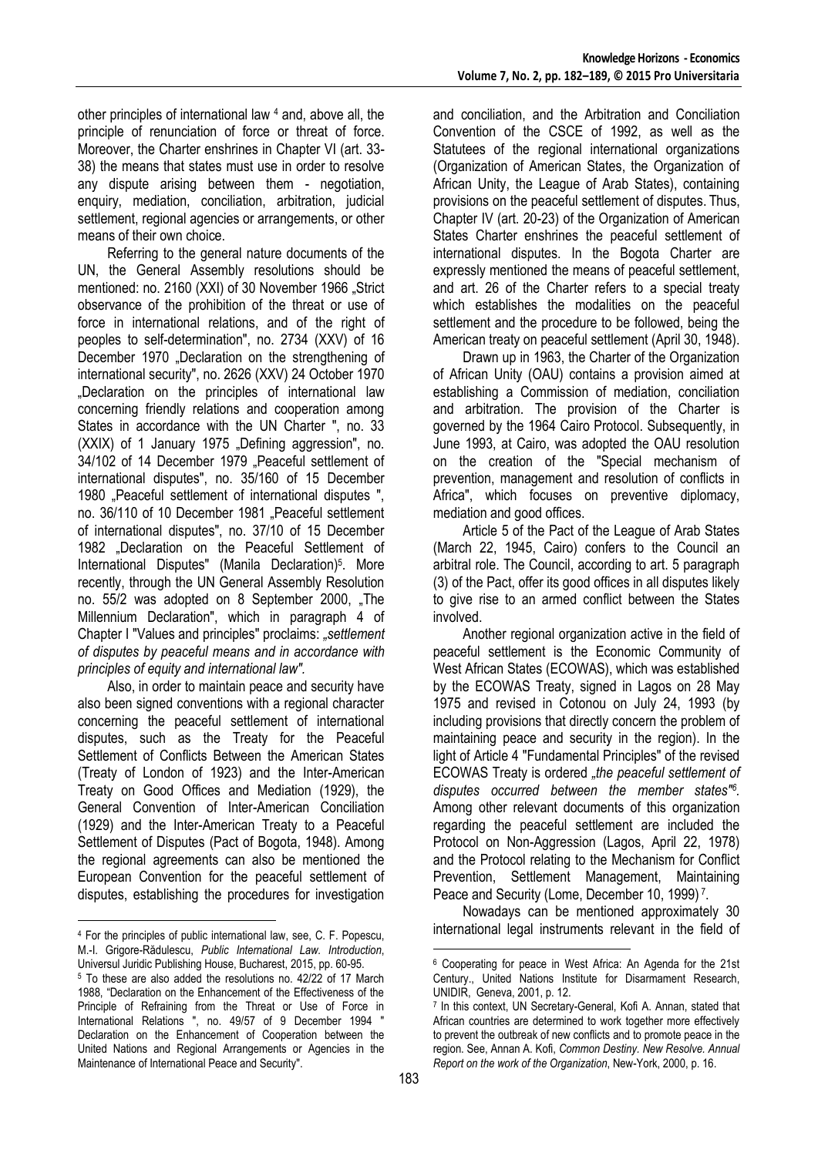other principles of international law <sup>4</sup> and, above all, the principle of renunciation of force or threat of force. Moreover, the Charter enshrines in Chapter VI (art. 33- 38) the means that states must use in order to resolve any dispute arising between them - negotiation, enquiry, mediation, conciliation, arbitration, judicial settlement, regional agencies or arrangements, or other means of their own choice.

Referring to the general nature documents of the UN, the General Assembly resolutions should be mentioned: no. 2160 (XXI) of 30 November 1966 "Strict observance of the prohibition of the threat or use of force in international relations, and of the right of peoples to self-determination", no. 2734 (XXV) of 16 December 1970 "Declaration on the strengthening of international security", no. 2626 (XXV) 24 October 1970 "Declaration on the principles of international law concerning friendly relations and cooperation among States in accordance with the UN Charter ", no. 33  $(XXIX)$  of 1 January 1975 "Defining aggression", no. 34/102 of 14 December 1979 "Peaceful settlement of international disputes", no. 35/160 of 15 December 1980 "Peaceful settlement of international disputes", no. 36/110 of 10 December 1981 "Peaceful settlement of international disputes", no. 37/10 of 15 December 1982 "Declaration on the Peaceful Settlement of International Disputes" (Manila Declaration)<sup>5</sup>. More recently, through the UN General Assembly Resolution no. 55/2 was adopted on 8 September 2000, "The Millennium Declaration", which in paragraph 4 of Chapter I "Values and principles" proclaims: *"settlement of disputes by peaceful means and in accordance with principles of equity and international law".*

Also, in order to maintain peace and security have also been signed conventions with a regional character concerning the peaceful settlement of international disputes, such as the Treaty for the Peaceful Settlement of Conflicts Between the American States (Treaty of London of 1923) and the Inter-American Treaty on Good Offices and Mediation (1929), the General Convention of Inter-American Conciliation (1929) and the Inter-American Treaty to a Peaceful Settlement of Disputes (Pact of Bogota, 1948). Among the regional agreements can also be mentioned the European Convention for the peaceful settlement of disputes, establishing the procedures for investigation

and conciliation, and the Arbitration and Conciliation Convention of the CSCE of 1992, as well as the Statutees of the regional international organizations (Organization of American States, the Organization of African Unity, the League of Arab States), containing provisions on the peaceful settlement of disputes. Thus, Chapter IV (art. 20-23) of the Organization of American States Charter enshrines the peaceful settlement of international disputes. In the Bogota Charter are expressly mentioned the means of peaceful settlement, and art. 26 of the Charter refers to a special treaty which establishes the modalities on the peaceful settlement and the procedure to be followed, being the American treaty on peaceful settlement (April 30, 1948).

Drawn up in 1963, the Charter of the Organization of African Unity (OAU) contains a provision aimed at establishing a Commission of mediation, conciliation and arbitration. The provision of the Charter is governed by the 1964 Cairo Protocol. Subsequently, in June 1993, at Cairo, was adopted the OAU resolution on the creation of the "Special mechanism of prevention, management and resolution of conflicts in Africa", which focuses on preventive diplomacy, mediation and good offices.

Article 5 of the Pact of the League of Arab States (March 22, 1945, Cairo) confers to the Council an arbitral role. The Council, according to art. 5 paragraph (3) of the Pact, offer its good offices in all disputes likely to give rise to an armed conflict between the States involved.

Another regional organization active in the field of peaceful settlement is the Economic Community of West African States (ECOWAS), which was established by the ECOWAS Treaty, signed in Lagos on 28 May 1975 and revised in Cotonou on July 24, 1993 (by including provisions that directly concern the problem of maintaining peace and security in the region). In the light of Article 4 "Fundamental Principles" of the revised ECOWAS Treaty is ordered *"the peaceful settlement of disputes occurred between the member states"<sup>6</sup> .*  Among other relevant documents of this organization regarding the peaceful settlement are included the Protocol on Non-Aggression (Lagos, April 22, 1978) and the Protocol relating to the Mechanism for Conflict Prevention, Settlement Management, Maintaining Peace and Security (Lome, December 10, 1999)<sup>7</sup>.

Nowadays can be mentioned approximately 30 international legal instruments relevant in the field of

-

<sup>-</sup><sup>4</sup> For the principles of public international law, see, C. F. Popescu, M.-I. Grigore-Rădulescu, *Public International Law. Introduction*, Universul Juridic Publishing House, Bucharest, 2015, pp. 60-95.

<sup>5</sup> To these are also added the resolutions no. 42/22 of 17 March 1988, "Declaration on the Enhancement of the Effectiveness of the Principle of Refraining from the Threat or Use of Force in International Relations ", no. 49/57 of 9 December 1994 " Declaration on the Enhancement of Cooperation between the United Nations and Regional Arrangements or Agencies in the Maintenance of International Peace and Security".

<sup>6</sup> Cooperating for peace in West Africa: An Agenda for the 21st Century., United Nations Institute for Disarmament Research, UNIDIR, Geneva, 2001, p. 12.

<sup>7</sup> In this context, UN Secretary-General, Kofi A. Annan, stated that African countries are determined to work together more effectively to prevent the outbreak of new conflicts and to promote peace in the region. See, Annan A. Kofi, *Common Destiny. New Resolve. Annual Report on the work of the Organization*, New-York, 2000, p. 16.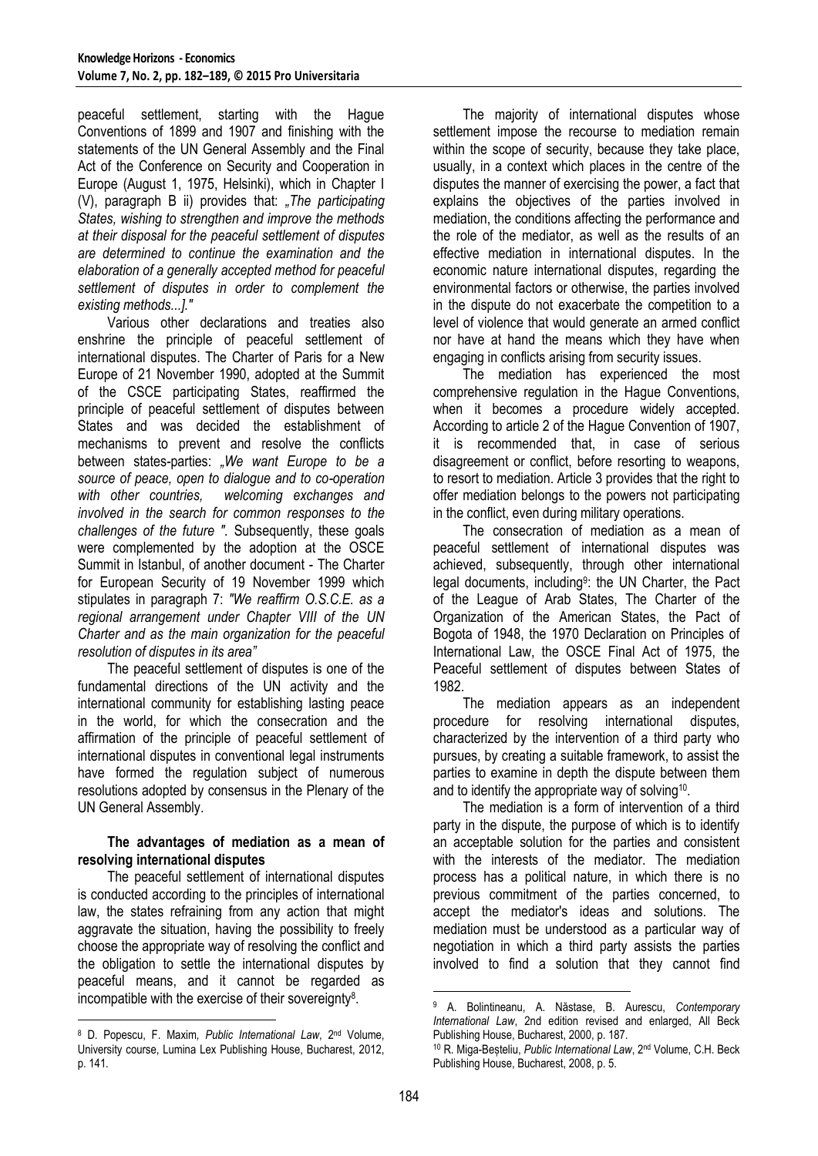peaceful settlement, starting with the Hague Conventions of 1899 and 1907 and finishing with the statements of the UN General Assembly and the Final Act of the Conference on Security and Cooperation in Europe (August 1, 1975, Helsinki), which in Chapter I (V), paragraph B ii) provides that: *"The participating States, wishing to strengthen and improve the methods at their disposal for the peaceful settlement of disputes are determined to continue the examination and the elaboration of a generally accepted method for peaceful settlement of disputes in order to complement the existing methods...]."*

Various other declarations and treaties also enshrine the principle of peaceful settlement of international disputes. The Charter of Paris for a New Europe of 21 November 1990, adopted at the Summit of the CSCE participating States, reaffirmed the principle of peaceful settlement of disputes between States and was decided the establishment of mechanisms to prevent and resolve the conflicts between states-parties: *"We want Europe to be a source of peace, open to dialogue and to co-operation with other countries, welcoming exchanges and involved in the search for common responses to the challenges of the future ".* Subsequently, these goals were complemented by the adoption at the OSCE Summit in Istanbul, of another document - The Charter for European Security of 19 November 1999 which stipulates in paragraph 7: *"We reaffirm O.S.C.E. as a regional arrangement under Chapter VIII of the UN Charter and as the main organization for the peaceful resolution of disputes in its area"*

The peaceful settlement of disputes is one of the fundamental directions of the UN activity and the international community for establishing lasting peace in the world, for which the consecration and the affirmation of the principle of peaceful settlement of international disputes in conventional legal instruments have formed the regulation subject of numerous resolutions adopted by consensus in the Plenary of the UN General Assembly.

#### **The advantages of mediation as a mean of resolving international disputes**

The peaceful settlement of international disputes is conducted according to the principles of international law, the states refraining from any action that might aggravate the situation, having the possibility to freely choose the appropriate way of resolving the conflict and the obligation to settle the international disputes by peaceful means, and it cannot be regarded as incompatible with the exercise of their sovereignty<sup>8</sup>.

1

The majority of international disputes whose settlement impose the recourse to mediation remain within the scope of security, because they take place, usually, in a context which places in the centre of the disputes the manner of exercising the power, a fact that explains the objectives of the parties involved in mediation, the conditions affecting the performance and the role of the mediator, as well as the results of an effective mediation in international disputes. In the economic nature international disputes, regarding the environmental factors or otherwise, the parties involved in the dispute do not exacerbate the competition to a level of violence that would generate an armed conflict nor have at hand the means which they have when engaging in conflicts arising from security issues.

The mediation has experienced the most comprehensive regulation in the Hague Conventions, when it becomes a procedure widely accepted. According to article 2 of the Hague Convention of 1907, it is recommended that, in case of serious disagreement or conflict, before resorting to weapons, to resort to mediation. Article 3 provides that the right to offer mediation belongs to the powers not participating in the conflict, even during military operations.

The consecration of mediation as a mean of peaceful settlement of international disputes was achieved, subsequently, through other international legal documents, including<sup>9</sup>: the UN Charter, the Pact of the League of Arab States, The Charter of the Organization of the American States, the Pact of Bogota of 1948, the 1970 Declaration on Principles of International Law, the OSCE Final Act of 1975, the Peaceful settlement of disputes between States of 1982.

The mediation appears as an independent procedure for resolving international disputes, characterized by the intervention of a third party who pursues, by creating a suitable framework, to assist the parties to examine in depth the dispute between them and to identify the appropriate way of solving<sup>10</sup>.

The mediation is a form of intervention of a third party in the dispute, the purpose of which is to identify an acceptable solution for the parties and consistent with the interests of the mediator. The mediation process has a political nature, in which there is no previous commitment of the parties concerned, to accept the mediator's ideas and solutions. The mediation must be understood as a particular way of negotiation in which a third party assists the parties involved to find a solution that they cannot find

<sup>8</sup> D. Popescu, F. Maxim*, Public International Law*, 2nd Volume, University course, Lumina Lex Publishing House, Bucharest, 2012, p. 141.

<sup>1</sup> <sup>9</sup> A. Bolintineanu, A. Năstase, B. Aurescu, *Contemporary International Law*, 2nd edition revised and enlarged, All Beck Publishing House, Bucharest, 2000, p. 187.

<sup>10</sup> R. Miga-Beșteliu, *Public International Law*, 2nd Volume, C.H. Beck Publishing House, Bucharest, 2008, p. 5.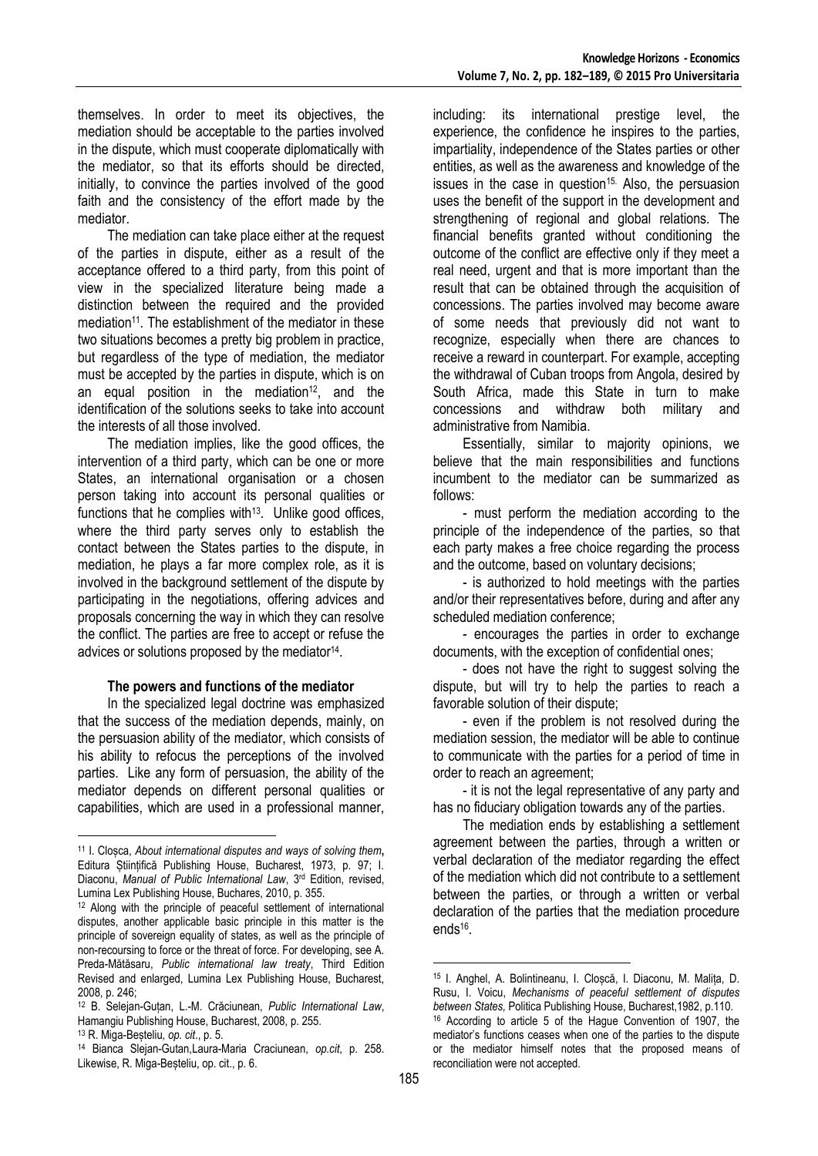themselves. In order to meet its objectives, the mediation should be acceptable to the parties involved in the dispute, which must cooperate diplomatically with the mediator, so that its efforts should be directed, initially, to convince the parties involved of the good faith and the consistency of the effort made by the mediator.

The mediation can take place either at the request of the parties in dispute, either as a result of the acceptance offered to a third party, from this point of view in the specialized literature being made a distinction between the required and the provided mediation<sup>11</sup>. The establishment of the mediator in these two situations becomes a pretty big problem in practice, but regardless of the type of mediation, the mediator must be accepted by the parties in dispute, which is on an equal position in the mediation<sup>12</sup>, and the identification of the solutions seeks to take into account the interests of all those involved.

The mediation implies, like the good offices, the intervention of a third party, which can be one or more States, an international organisation or a chosen person taking into account its personal qualities or functions that he complies with $13$ . Unlike good offices, where the third party serves only to establish the contact between the States parties to the dispute, in mediation, he plays a far more complex role, as it is involved in the background settlement of the dispute by participating in the negotiations, offering advices and proposals concerning the way in which they can resolve the conflict. The parties are free to accept or refuse the advices or solutions proposed by the mediator<sup>14</sup>.

#### **The powers and functions of the mediator**

In the specialized legal doctrine was emphasized that the success of the mediation depends, mainly, on the persuasion ability of the mediator, which consists of his ability to refocus the perceptions of the involved parties. Like any form of persuasion, the ability of the mediator depends on different personal qualities or capabilities, which are used in a professional manner,

<u>.</u>

including: its international prestige level, the experience, the confidence he inspires to the parties, impartiality, independence of the States parties or other entities, as well as the awareness and knowledge of the issues in the case in question<sup>15.</sup> Also, the persuasion uses the benefit of the support in the development and strengthening of regional and global relations. The financial benefits granted without conditioning the outcome of the conflict are effective only if they meet a real need, urgent and that is more important than the result that can be obtained through the acquisition of concessions. The parties involved may become aware of some needs that previously did not want to recognize, especially when there are chances to receive a reward in counterpart. For example, accepting the withdrawal of Cuban troops from Angola, desired by South Africa, made this State in turn to make concessions and withdraw both military and administrative from Namibia.

Essentially, similar to majority opinions, we believe that the main responsibilities and functions incumbent to the mediator can be summarized as follows:

- must perform the mediation according to the principle of the independence of the parties, so that each party makes a free choice regarding the process and the outcome, based on voluntary decisions;

- is authorized to hold meetings with the parties and/or their representatives before, during and after any scheduled mediation conference;

- encourages the parties in order to exchange documents, with the exception of confidential ones;

- does not have the right to suggest solving the dispute, but will try to help the parties to reach a favorable solution of their dispute;

- even if the problem is not resolved during the mediation session, the mediator will be able to continue to communicate with the parties for a period of time in order to reach an agreement;

- it is not the legal representative of any party and has no fiduciary obligation towards any of the parties.

The mediation ends by establishing a settlement agreement between the parties, through a written or verbal declaration of the mediator regarding the effect of the mediation which did not contribute to a settlement between the parties, or through a written or verbal declaration of the parties that the mediation procedure ends<sup>16</sup> .

<u>.</u>

<sup>11</sup> I. Cloșca, *About international disputes and ways of solving them***,**  Editura Științifică Publishing House, Bucharest, 1973, p. 97; I. Diaconu, *Manual of Public International Law*, 3rd Edition, revised, Lumina Lex Publishing House, Buchares, 2010, p. 355.

<sup>12</sup> Along with the principle of peaceful settlement of international disputes, another applicable basic principle in this matter is the principle of sovereign equality of states, as well as the principle of non-recoursing to force or the threat of force. For developing, see A. Preda-Mătăsaru, *Public international law treaty*, Third Edition Revised and enlarged, Lumina Lex Publishing House, Bucharest, 2008, p. 246;

<sup>12</sup> B. Selejan-Guțan, L.-M. Crăciunean, *Public International Law*, Hamangiu Publishing House, Bucharest, 2008, p. 255.

<sup>13</sup> R. Miga-Beșteliu*, op. cit*., p. 5.

<sup>14</sup> Bianca Slejan-Gutan,Laura-Maria Craciunean, *op.cit*, p. 258. Likewise, R. Miga-Beșteliu, op. cit., p. 6.

<sup>15</sup> I. Anghel, A. Bolintineanu, I. Cloșcă, I. Diaconu, M. Malița, D. Rusu, I. Voicu, *Mechanisms of peaceful settlement of disputes between States,* Politica Publishing House, Bucharest,1982, p.110. <sup>16</sup> According to article 5 of the Hague Convention of 1907, the mediator's functions ceases when one of the parties to the dispute or the mediator himself notes that the proposed means of reconciliation were not accepted.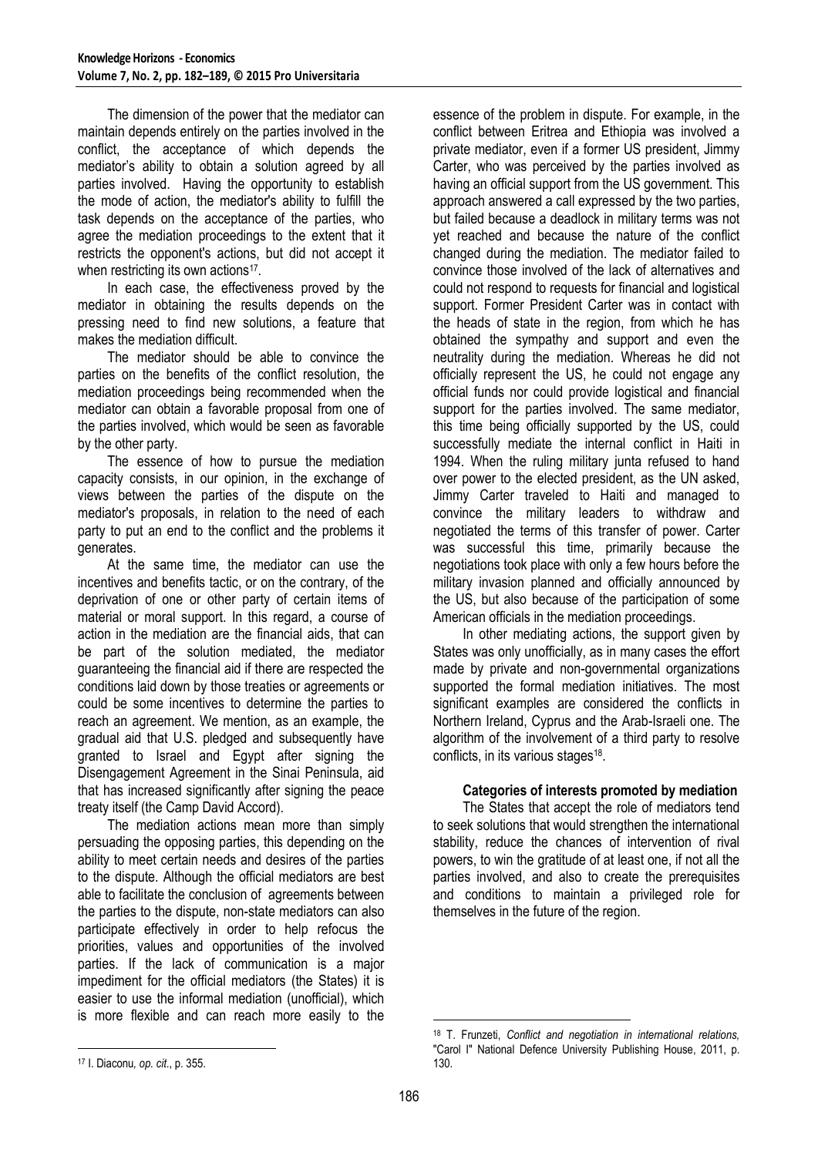The dimension of the power that the mediator can maintain depends entirely on the parties involved in the conflict, the acceptance of which depends the mediator's ability to obtain a solution agreed by all parties involved. Having the opportunity to establish the mode of action, the mediator's ability to fulfill the task depends on the acceptance of the parties, who agree the mediation proceedings to the extent that it restricts the opponent's actions, but did not accept it when restricting its own actions<sup>17</sup>.

In each case, the effectiveness proved by the mediator in obtaining the results depends on the pressing need to find new solutions, a feature that makes the mediation difficult.

The mediator should be able to convince the parties on the benefits of the conflict resolution, the mediation proceedings being recommended when the mediator can obtain a favorable proposal from one of the parties involved, which would be seen as favorable by the other party.

The essence of how to pursue the mediation capacity consists, in our opinion, in the exchange of views between the parties of the dispute on the mediator's proposals, in relation to the need of each party to put an end to the conflict and the problems it generates.

At the same time, the mediator can use the incentives and benefits tactic, or on the contrary, of the deprivation of one or other party of certain items of material or moral support. In this regard, a course of action in the mediation are the financial aids, that can be part of the solution mediated, the mediator guaranteeing the financial aid if there are respected the conditions laid down by those treaties or agreements or could be some incentives to determine the parties to reach an agreement. We mention, as an example, the gradual aid that U.S. pledged and subsequently have granted to Israel and Egypt after signing the Disengagement Agreement in the Sinai Peninsula, aid that has increased significantly after signing the peace treaty itself (the Camp David Accord).

The mediation actions mean more than simply persuading the opposing parties, this depending on the ability to meet certain needs and desires of the parties to the dispute. Although the official mediators are best able to facilitate the conclusion of agreements between the parties to the dispute, non-state mediators can also participate effectively in order to help refocus the priorities, values and opportunities of the involved parties. If the lack of communication is a major impediment for the official mediators (the States) it is easier to use the informal mediation (unofficial), which is more flexible and can reach more easily to the

essence of the problem in dispute. For example, in the conflict between Eritrea and Ethiopia was involved a private mediator, even if a former US president, Jimmy Carter, who was perceived by the parties involved as having an official support from the US government. This approach answered a call expressed by the two parties, but failed because a deadlock in military terms was not yet reached and because the nature of the conflict changed during the mediation. The mediator failed to convince those involved of the lack of alternatives and could not respond to requests for financial and logistical support. Former President Carter was in contact with the heads of state in the region, from which he has obtained the sympathy and support and even the neutrality during the mediation. Whereas he did not officially represent the US, he could not engage any official funds nor could provide logistical and financial support for the parties involved. The same mediator, this time being officially supported by the US, could successfully mediate the internal conflict in Haiti in 1994. When the ruling military junta refused to hand over power to the elected president, as the UN asked, Jimmy Carter traveled to Haiti and managed to convince the military leaders to withdraw and negotiated the terms of this transfer of power. Carter was successful this time, primarily because the negotiations took place with only a few hours before the military invasion planned and officially announced by the US, but also because of the participation of some American officials in the mediation proceedings.

In other mediating actions, the support given by States was only unofficially, as in many cases the effort made by private and non-governmental organizations supported the formal mediation initiatives. The most significant examples are considered the conflicts in Northern Ireland, Cyprus and the Arab-Israeli one. The algorithm of the involvement of a third party to resolve conflicts, in its various stages<sup>18</sup>.

## **Categories of interests promoted by mediation**

The States that accept the role of mediators tend to seek solutions that would strengthen the international stability, reduce the chances of intervention of rival powers, to win the gratitude of at least one, if not all the parties involved, and also to create the prerequisites and conditions to maintain a privileged role for themselves in the future of the region.

1

1

<sup>18</sup> T. Frunzeti, *Conflict and negotiation in international relations,*  "Carol I" National Defence University Publishing House, 2011, p. 130.

<sup>17</sup> I. Diaconu*, op. cit*., p. 355.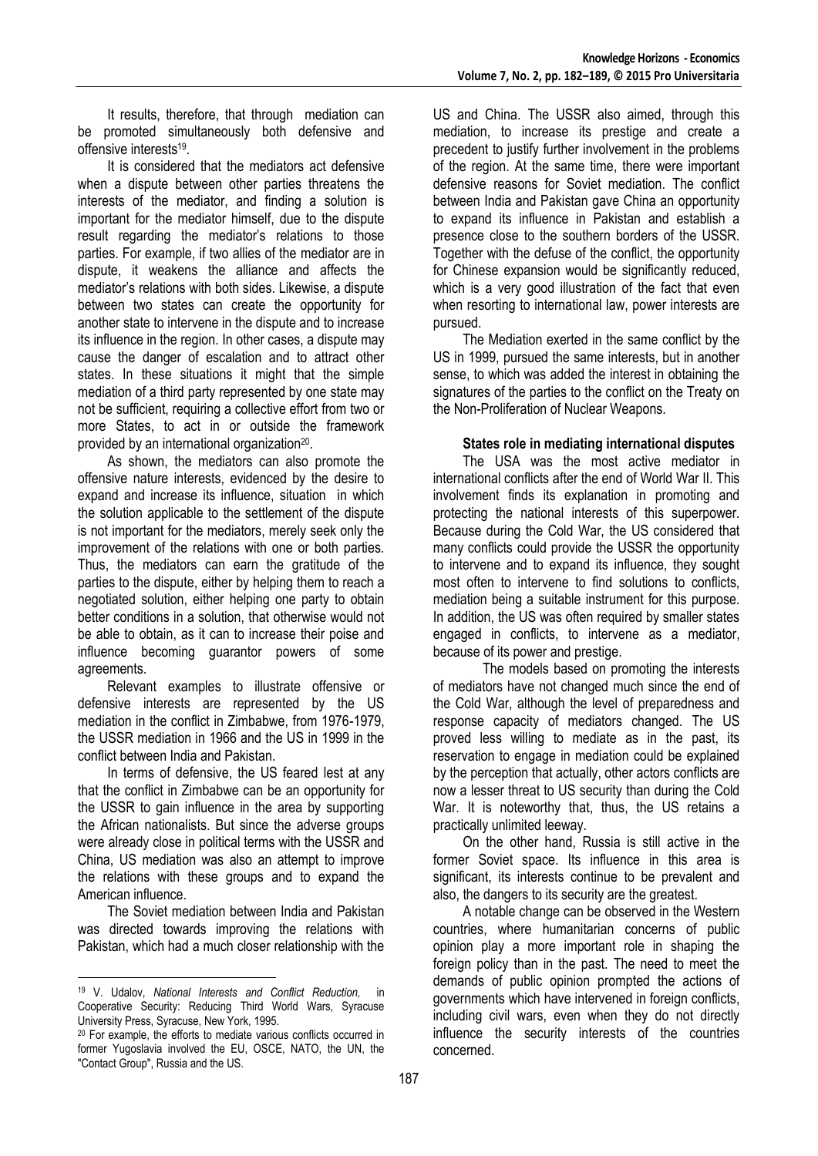It results, therefore, that through mediation can be promoted simultaneously both defensive and offensive interests<sup>19</sup>.

It is considered that the mediators act defensive when a dispute between other parties threatens the interests of the mediator, and finding a solution is important for the mediator himself, due to the dispute result regarding the mediator's relations to those parties. For example, if two allies of the mediator are in dispute, it weakens the alliance and affects the mediator's relations with both sides. Likewise, a dispute between two states can create the opportunity for another state to intervene in the dispute and to increase its influence in the region. In other cases, a dispute may cause the danger of escalation and to attract other states. In these situations it might that the simple mediation of a third party represented by one state may not be sufficient, requiring a collective effort from two or more States, to act in or outside the framework provided by an international organization<sup>20</sup>.

As shown, the mediators can also promote the offensive nature interests, evidenced by the desire to expand and increase its influence, situation in which the solution applicable to the settlement of the dispute is not important for the mediators, merely seek only the improvement of the relations with one or both parties. Thus, the mediators can earn the gratitude of the parties to the dispute, either by helping them to reach a negotiated solution, either helping one party to obtain better conditions in a solution, that otherwise would not be able to obtain, as it can to increase their poise and influence becoming guarantor powers of some agreements.

Relevant examples to illustrate offensive or defensive interests are represented by the US mediation in the conflict in Zimbabwe, from 1976-1979, the USSR mediation in 1966 and the US in 1999 in the conflict between India and Pakistan.

In terms of defensive, the US feared lest at any that the conflict in Zimbabwe can be an opportunity for the USSR to gain influence in the area by supporting the African nationalists. But since the adverse groups were already close in political terms with the USSR and China, US mediation was also an attempt to improve the relations with these groups and to expand the American influence.

The Soviet mediation between India and Pakistan was directed towards improving the relations with Pakistan, which had a much closer relationship with the

1

US and China. The USSR also aimed, through this mediation, to increase its prestige and create a precedent to justify further involvement in the problems of the region. At the same time, there were important defensive reasons for Soviet mediation. The conflict between India and Pakistan gave China an opportunity to expand its influence in Pakistan and establish a presence close to the southern borders of the USSR. Together with the defuse of the conflict, the opportunity for Chinese expansion would be significantly reduced, which is a very good illustration of the fact that even when resorting to international law, power interests are pursued.

The Mediation exerted in the same conflict by the US in 1999, pursued the same interests, but in another sense, to which was added the interest in obtaining the signatures of the parties to the conflict on the Treaty on the Non-Proliferation of Nuclear Weapons.

## **States role in mediating international disputes**

The USA was the most active mediator in international conflicts after the end of World War II. This involvement finds its explanation in promoting and protecting the national interests of this superpower. Because during the Cold War, the US considered that many conflicts could provide the USSR the opportunity to intervene and to expand its influence, they sought most often to intervene to find solutions to conflicts, mediation being a suitable instrument for this purpose. In addition, the US was often required by smaller states engaged in conflicts, to intervene as a mediator, because of its power and prestige.

The models based on promoting the interests of mediators have not changed much since the end of the Cold War, although the level of preparedness and response capacity of mediators changed. The US proved less willing to mediate as in the past, its reservation to engage in mediation could be explained by the perception that actually, other actors conflicts are now a lesser threat to US security than during the Cold War. It is noteworthy that, thus, the US retains a practically unlimited leeway.

On the other hand, Russia is still active in the former Soviet space. Its influence in this area is significant, its interests continue to be prevalent and also, the dangers to its security are the greatest.

A notable change can be observed in the Western countries, where humanitarian concerns of public opinion play a more important role in shaping the foreign policy than in the past. The need to meet the demands of public opinion prompted the actions of governments which have intervened in foreign conflicts, including civil wars, even when they do not directly influence the security interests of the countries concerned.

<sup>19</sup> V. Udalov, *National Interests and Conflict Reduction,* in Cooperative Security: Reducing Third World Wars, Syracuse University Press, Syracuse, New York, 1995.

<sup>&</sup>lt;sup>20</sup> For example, the efforts to mediate various conflicts occurred in former Yugoslavia involved the EU, OSCE, NATO, the UN, the "Contact Group", Russia and the US.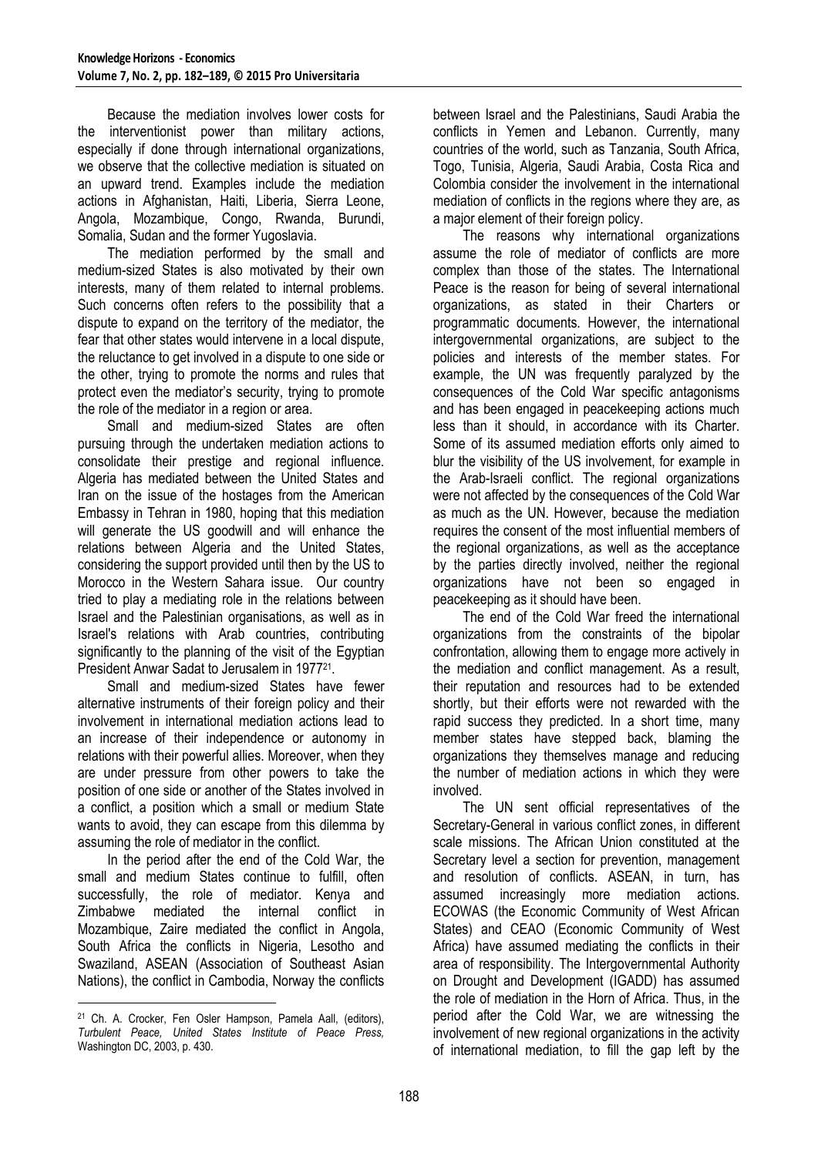Because the mediation involves lower costs for the interventionist power than military actions, especially if done through international organizations, we observe that the collective mediation is situated on an upward trend. Examples include the mediation actions in Afghanistan, Haiti, Liberia, Sierra Leone, Angola, Mozambique, Congo, Rwanda, Burundi, Somalia, Sudan and the former Yugoslavia.

The mediation performed by the small and medium-sized States is also motivated by their own interests, many of them related to internal problems. Such concerns often refers to the possibility that a dispute to expand on the territory of the mediator, the fear that other states would intervene in a local dispute, the reluctance to get involved in a dispute to one side or the other, trying to promote the norms and rules that protect even the mediator's security, trying to promote the role of the mediator in a region or area.

Small and medium-sized States are often pursuing through the undertaken mediation actions to consolidate their prestige and regional influence. Algeria has mediated between the United States and Iran on the issue of the hostages from the American Embassy in Tehran in 1980, hoping that this mediation will generate the US goodwill and will enhance the relations between Algeria and the United States, considering the support provided until then by the US to Morocco in the Western Sahara issue. Our country tried to play a mediating role in the relations between Israel and the Palestinian organisations, as well as in Israel's relations with Arab countries, contributing significantly to the planning of the visit of the Egyptian President Anwar Sadat to Jerusalem in 1977<sup>21</sup> .

Small and medium-sized States have fewer alternative instruments of their foreign policy and their involvement in international mediation actions lead to an increase of their independence or autonomy in relations with their powerful allies. Moreover, when they are under pressure from other powers to take the position of one side or another of the States involved in a conflict, a position which a small or medium State wants to avoid, they can escape from this dilemma by assuming the role of mediator in the conflict.

In the period after the end of the Cold War, the small and medium States continue to fulfill, often successfully, the role of mediator. Kenya and Zimbabwe mediated the internal conflict in Mozambique, Zaire mediated the conflict in Angola, South Africa the conflicts in Nigeria, Lesotho and Swaziland, ASEAN (Association of Southeast Asian Nations), the conflict in Cambodia, Norway the conflicts

between Israel and the Palestinians, Saudi Arabia the conflicts in Yemen and Lebanon. Currently, many countries of the world, such as Tanzania, South Africa, Togo, Tunisia, Algeria, Saudi Arabia, Costa Rica and Colombia consider the involvement in the international mediation of conflicts in the regions where they are, as a major element of their foreign policy.

The reasons why international organizations assume the role of mediator of conflicts are more complex than those of the states. The International Peace is the reason for being of several international organizations, as stated in their Charters or programmatic documents. However, the international intergovernmental organizations, are subject to the policies and interests of the member states. For example, the UN was frequently paralyzed by the consequences of the Cold War specific antagonisms and has been engaged in peacekeeping actions much less than it should, in accordance with its Charter. Some of its assumed mediation efforts only aimed to blur the visibility of the US involvement, for example in the Arab-Israeli conflict. The regional organizations were not affected by the consequences of the Cold War as much as the UN. However, because the mediation requires the consent of the most influential members of the regional organizations, as well as the acceptance by the parties directly involved, neither the regional organizations have not been so engaged in peacekeeping as it should have been.

The end of the Cold War freed the international organizations from the constraints of the bipolar confrontation, allowing them to engage more actively in the mediation and conflict management. As a result, their reputation and resources had to be extended shortly, but their efforts were not rewarded with the rapid success they predicted. In a short time, many member states have stepped back, blaming the organizations they themselves manage and reducing the number of mediation actions in which they were involved.

The UN sent official representatives of the Secretary-General in various conflict zones, in different scale missions. The African Union constituted at the Secretary level a section for prevention, management and resolution of conflicts. ASEAN, in turn, has assumed increasingly more mediation actions. ECOWAS (the Economic Community of West African States) and CEAO (Economic Community of West Africa) have assumed mediating the conflicts in their area of responsibility. The Intergovernmental Authority on Drought and Development (IGADD) has assumed the role of mediation in the Horn of Africa. Thus, in the period after the Cold War, we are witnessing the involvement of new regional organizations in the activity of international mediation, to fill the gap left by the

<sup>&</sup>lt;u>.</u> <sup>21</sup> Ch. A. Crocker, Fen Osler Hampson, Pamela Aall, (editors), *Turbulent Peace, United States Institute of Peace Press,*  Washington DC, 2003, p. 430.